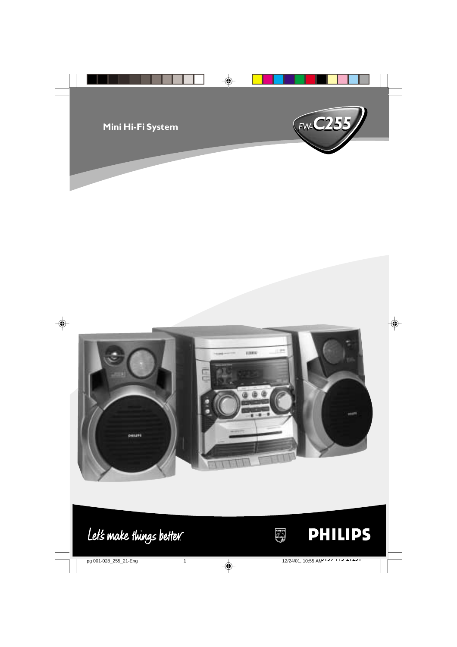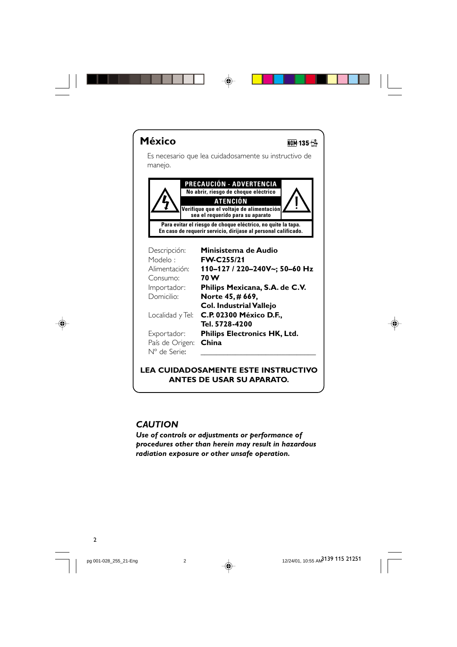



## **LEA CUIDADOSAMENTE ESTE INSTRUCTIVO ANTES DE USAR SU APARATO.**

## *CAUTION*

*Use of controls or adjustments or performance of procedures other than herein may result in hazardous radiation exposure or other unsafe operation.*

12/24/01, 10:55 AM<sup>3139</sup> 115 21251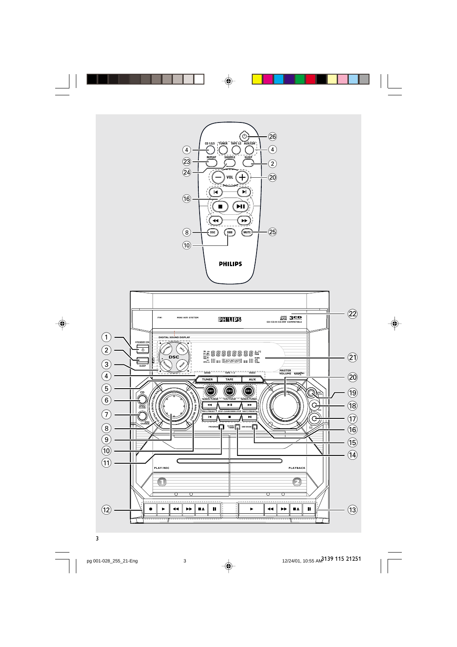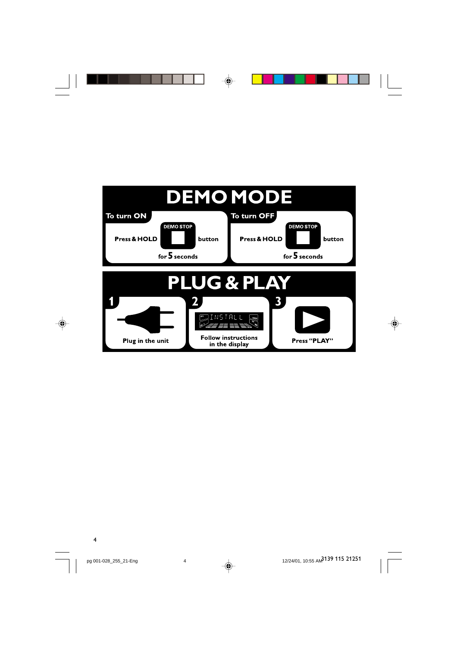



 $\bigoplus$ 

4

 $\Rightarrow$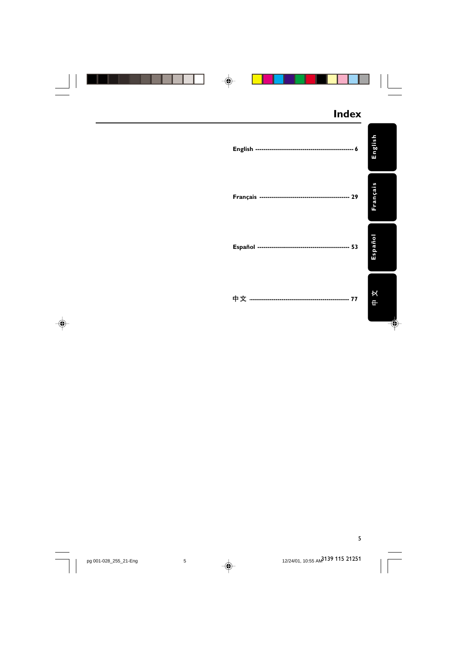|  | <b>Index</b>             |                                 |
|--|--------------------------|---------------------------------|
|  |                          | English                         |
|  |                          | Français                        |
|  |                          | Español                         |
|  | 中文 ……………………………………………… 77 | $\frac{\mathbf{x}}{\mathbf{y}}$ |

5

pg 001-028\_255\_21-Eng 12/25 AM 5

12/24/01, 10:55 AM<sup>2</sup>139 115 21251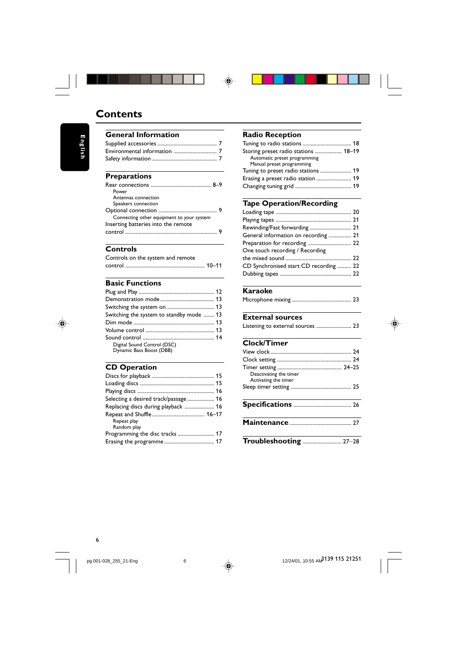

◈

#### **Preparations**

Safety information ..........

**General Information**

**Contents**

| ι ι σραι ατινιισ                          |  |
|-------------------------------------------|--|
|                                           |  |
| Power                                     |  |
| Antennas connection                       |  |
| Speakers connection                       |  |
|                                           |  |
| Connecting other equipment to your system |  |
| Inserting batteries into the remote       |  |
|                                           |  |
|                                           |  |

Supplied accessories ............................................ 7 Environmental information ................................ 7

## **Controls**

Controls on the system and remote control ........................................................... 10–11

#### **Basic Functions**

| Switching the system to standby mode  13 |  |
|------------------------------------------|--|
|                                          |  |
|                                          |  |
|                                          |  |
| Digital Sound Control (DSC)              |  |
| Dynamic Bass Boost (DBB)                 |  |

## **CD Operation**

| Selecting a desired track/passage 16 |  |
|--------------------------------------|--|
| Replacing discs during playback  16  |  |
|                                      |  |
| Repeat play                          |  |
| Random play                          |  |
|                                      |  |
|                                      |  |

## **Radio Reception**

◈

| Storing preset radio stations  18–19 |  |
|--------------------------------------|--|
| Automatic preset programming         |  |
| Manual preset programming            |  |
| Tuning to preset radio stations  19  |  |
| Erasing a preset radio station  19   |  |
|                                      |  |

## **Tape Operation/Recording**

| General information on recording  21   |  |
|----------------------------------------|--|
|                                        |  |
| One touch recording / Recording        |  |
|                                        |  |
| CD Synchronised start CD recording  22 |  |
|                                        |  |

## **Karaoke**

|--|--|--|--|--|

# **External sources**<br>Listening to external sou

|  |  |  | Listening to external sources  23 |  |  |
|--|--|--|-----------------------------------|--|--|
|--|--|--|-----------------------------------|--|--|

## **Clock/Timer**

| Deactivating the timer<br>Activating the timer |  |
|------------------------------------------------|--|
|                                                |  |
|                                                |  |
|                                                |  |
| Troubleshooting  27-28                         |  |

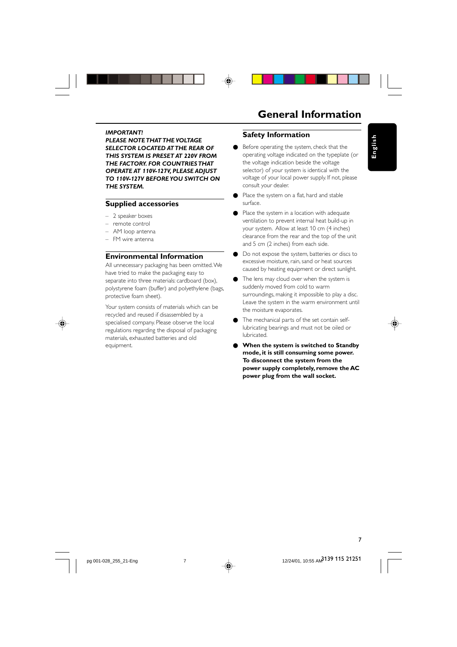

## **General Information**

#### *IMPORTANT!*

*PLEASE NOTE THAT THE VOLTAGE SELECTOR LOCATED AT THE REAR OF THIS SYSTEM IS PRESET AT 220V FROM THE FACTORY. FOR COUNTRIES THAT OPERATE AT 110V-127V, PLEASE ADJUST TO 110V-127V BEFORE YOU SWITCH ON THE SYSTEM.*

#### **Supplied accessories**

- 2 speaker boxes
- remote control
- AM loop antenna
- FM wire antenna

#### **Environmental Information**

All unnecessary packaging has been omitted. We have tried to make the packaging easy to separate into three materials: cardboard (box), polystyrene foam (buffer) and polyethylene (bags, protective foam sheet).

Your system consists of materials which can be recycled and reused if disassembled by a specialised company. Please observe the local regulations regarding the disposal of packaging materials, exhausted batteries and old equipment.

#### **Safety Information**

- Before operating the system, check that the operating voltage indicated on the typeplate (or the voltage indication beside the voltage selector) of your system is identical with the voltage of your local power supply. If not, please consult your dealer.
- Place the system on a flat, hard and stable surface.
- Place the system in a location with adequate ventilation to prevent internal heat build-up in your system. Allow at least 10 cm (4 inches) clearance from the rear and the top of the unit and 5 cm (2 inches) from each side.
- Do not expose the system, batteries or discs to excessive moisture, rain, sand or heat sources caused by heating equipment or direct sunlight.
- The lens may cloud over when the system is suddenly moved from cold to warm surroundings, making it impossible to play a disc. Leave the system in the warm environment until the moisture evaporates.
- The mechanical parts of the set contain selflubricating bearings and must not be oiled or lubricated.
- **When the system is switched to Standby mode, it is still consuming some power. To disconnect the system from the power supply completely, remove the AC power plug from the wall socket.**





**English**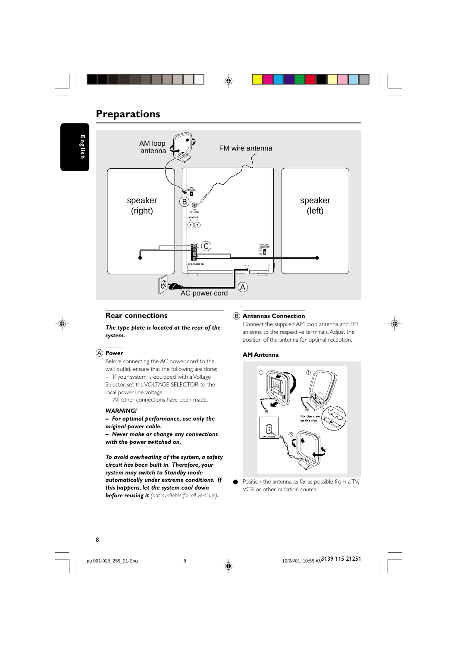## **Preparations**

**English**



## **Rear connections**

*The type plate is located at the rear of the system.*

#### A **Power**

Before connecting the AC power cord to the wall outlet, ensure that the following are done; – If your system is equipped with a Voltage Selector, set the VOLTAGE SELECTOR to the local power line voltage.

– All other connections have been made.

#### *WARNING!*

- *For optimal performance, use only the original power cable.*
- *Never make or change any connections with the power switched on.*

*To avoid overheating of the system, a safety circuit has been built in. Therefore, your system may switch to Standby mode automatically under extreme conditions. If this happens, let the system cool down before reusing it (not available for all versions).*

#### B **Antennas Connection**

Connect the supplied AM loop antenna and FM antenna to the respective terminals. Adjust the position of the antenna for optimal reception.



#### **AM Antenna**



● Position the antenna as far as possible from a TV, VCR or other radiation source.

pg 001-028\_255\_21-Eng 12/255 B

12/24/01, 10:55 AM<sup>3139</sup> 115 21251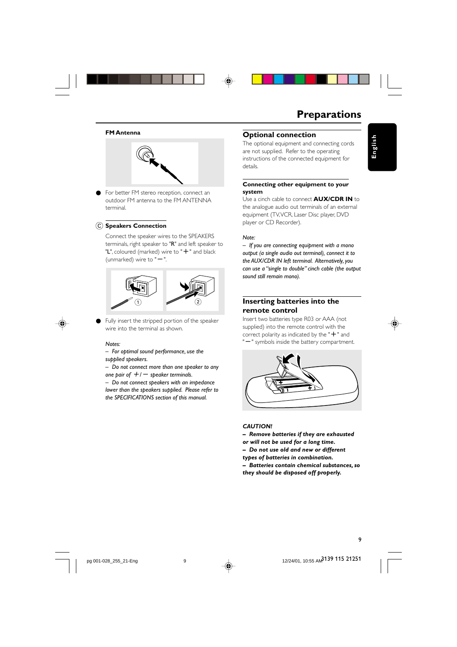



## **Preparations**

**English**

#### **FM Antenna**



● For better FM stereo reception, connect an outdoor FM antenna to the FM ANTENNA terminal.

#### C **Speakers Connection**

Connect the speaker wires to the SPEAKERS terminals, right speaker to "R" and left speaker to "L", coloured (marked) wire to " $+$ " and black (unmarked) wire to " $-$ ".



Fully insert the stripped portion of the speaker wire into the terminal as shown.

#### *Notes:*

- *For optimal sound performance, use the supplied speakers.*
- *Do not connect more than one speaker to any*
- *one pair of*  $+/-$  *speaker terminals.*

*– Do not connect speakers with an impedance lower than the speakers supplied. Please refer to the SPECIFICATIONS section of this manual.*



The optional equipment and connecting cords are not supplied. Refer to the operating instructions of the connected equipment for details.

#### **Connecting other equipment to your system**

Use a cinch cable to connect **AUX/CDR IN** to the analogue audio out terminals of an external equipment (TV, VCR, Laser Disc player, DVD player or CD Recorder).

#### *Note:*

*– If you are connecting equipment with a mono output (a single audio out terminal), connect it to the AUX/CDR IN left terminal. Alternatively, you can use a "single to double" cinch cable (the output sound still remain mono).*

#### **Inserting batteries into the remote control**

Insert two batteries type R03 or AAA (not supplied) into the remote control with the correct polarity as indicated by the " $+$ " and "-" symbols inside the battery compartment.



#### *CAUTION!*

- *Remove batteries if they are exhausted*
- *or will not be used for a long time.*
- *Do not use old and new or different*
- *types of batteries in combination.*
- *Batteries contain chemical substances, so they should be disposed off properly.*



12/24/01, 10:55 AM<sup>3</sup>139 115 21251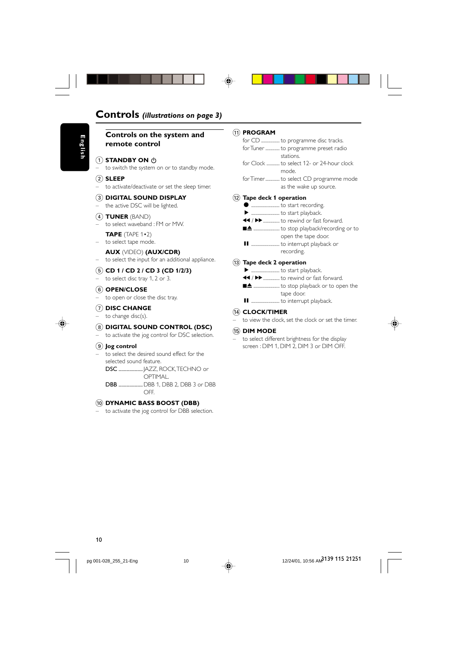## **Controls** *(illustrations on page 3)*

#### **Controls on the system and remote control**

## **1** STANDBY ON  $\uparrow$

to switch the system on or to standby mode.

#### 2 **SLEEP**

– to activate/deactivate or set the sleep timer.

#### 3 **DIGITAL SOUND DISPLAY**

the active DSC will be lighted.

#### 4 **TUNER** (BAND)

– to select waveband : FM or MW. **TAPE** (TAPE 1•2)

– to select tape mode.

#### **AUX** (VIDEO) **(AUX/CDR)**

– to select the input for an additional appliance.

#### 5 **CD 1 / CD 2 / CD 3 (CD 1/2/3)**

– to select disc tray 1, 2 or 3.

#### 6 **OPEN/CLOSE**

to open or close the disc tray.

#### 7 **DISC CHANGE** to change disc(s).

## 8 **DIGITAL SOUND CONTROL (DSC)**

to activate the jog control for DSC selection.

#### 9 **Jog control**

– to select the desired sound effect for the selected sound feature.

DSC .................. JAZZ, ROCK, TECHNO or OPTIMAL.

DBB ..................DBB 1, DBB 2, DBB 3 or DBB OFF.

#### 0 **DYNAMIC BASS BOOST (DBB)**

– to activate the jog control for DBB selection.

#### ! **PROGRAM**

- for CD ................. to programme disc tracks. for Tuner ............. to programme preset radio stations. for Clock ............ to select 12- or 24-hour clock
- mode.
- for Timer............. to select CD programme mode as the wake up source.

#### @ **Tape deck 1 operation**

| $\bullet$ |                                                 |
|-----------|-------------------------------------------------|
| ▸         |                                                 |
|           | ◀◀ / ▶▶  to rewind or fast forward.             |
|           | المتكلف والمتماري والمتماري والمستنقذ والمستحدث |

- .... to stop playback/recording or to open the tape door.
- Å .......................... to interrupt playback or recording.

#### $(13)$  Tape deck 2 operation

- É .......................... to start playback.
- $\blacktriangleleft$  /  $\blacktriangleright$  ............... to rewind or fast forward.

Å .......................... to interrupt playback.

70 ........................ to stop playback or to open the tape door.

## \$ **CLOCK/TIMER**

to view the clock, set the clock or set the timer.

#### % **DIM MODE**

– to select different brightness for the display screen : DIM 1, DIM 2, DIM 3 or DIM OFF.

12/24/01, 10:56 AM<sup>3139</sup> 115 21251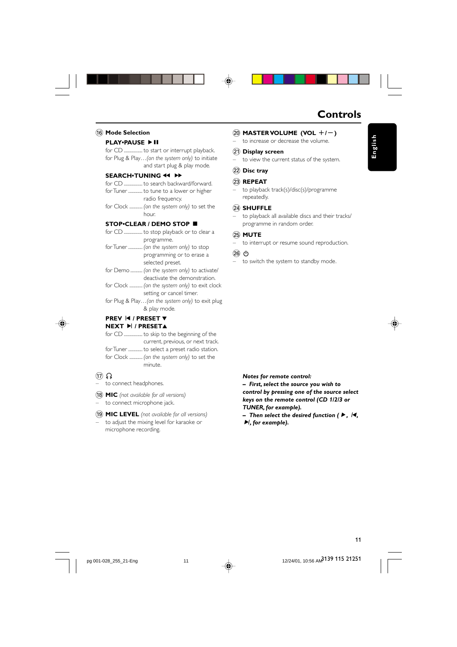## **Controls**

**English**

#### ) **MASTER VOLUME (VOL** +**/**-**)**

– to increase or decrease the volume.

#### ¡ **Display screen**

to view the current status of the system.

#### ™ **Disc tray**

#### £ **REPEAT**

– to playback track(s)/disc(s)/programme repeatedly.

#### ≤ **SHUFFLE**

– to playback all available discs and their tracks/ programme in random order.

#### ∞ **MUTE**

– to interrupt or resume sound reproduction.

#### $(26)$  ტ

– to switch the system to standby mode.



*– First, select the source you wish to control by pressing one of the source select keys on the remote control (CD 1/2/3 or*

*TUNER, for example). –* Then select the desired function (▶, /

 $\blacktriangleright$ *l*, for example).

## $\left( \widehat{16} \right)$  **Mode Selection**

## **PLAY•PAUSE ▶ II**

for CD ................. to start or interrupt playback. for Plug & Play…*(on the system only)* to initiate and start plug & play mode*.*

#### **SEARCH**<sup>•</sup>TUNING << **>**

- for CD ................. to search backward/forward. for Tuner ............. to tune to a lower or higher radio frequency.
- for Clock ............ *(on the system only)* to set the hour.

#### **STOP•CLEAR / DEMO STOP**

- for CD ................. to stop playback or to clear a programme.
- for Tuner ............. *(on the system only)* to stop programming or to erase a selected preset.
- for Demo ........... *(on the system only)* to activate/ deactivate the demonstration. for Clock ............ *(on the system only)* to exit clock setting or cancel timer*.*

for Plug & Play…*(on the system only)* to exit plug & play mode*.*



## **PREV** í **/ PRESET** 4 **NEXT ▶ / PRESET▲**

- for CD ................. to skip to the beginning of the current, previous, or next track. for Tuner ............. to select a preset radio station. for Clock ............ *(on the system only)* to set the
- $\pi$

to connect headphones.

- \* **MIC** *(not available for all versions)* – to connect microphone jack.
- ( **MIC LEVEL** *(not available for all versions)* to adjust the mixing level for karaoke or microphone recording.

minute.

12/24/01, 10:56 AM<sup>3139</sup> 115 21251

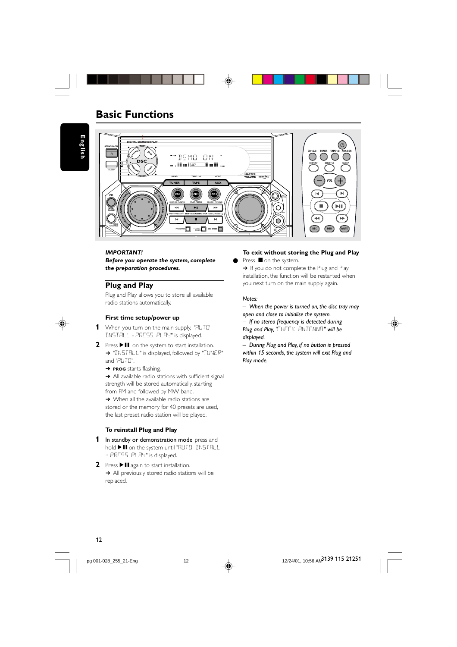

## **Basic Functions**

**English**



#### *IMPORTANT!*

*Before you operate the system, complete the preparation procedures.*

#### **Plug and Play**

Plug and Play allows you to store all available radio stations automatically.



#### **First time setup/power up**

- **1** When you turn on the main supply, "RUTO INSTALL - PRESS PLAY" is displayed.
- **2** Press ▶Ⅱ on the system to start installation. → "INSTRLL" is displayed, followed by "TUNER" and "AUTO".
	- ➜ **PROG** starts flashing.

**→** All available radio stations with sufficient signal strength will be stored automatically, starting from FM and followed by MW band.

→ When all the available radio stations are stored or the memory for 40 presets are used, the last preset radio station will be played.

#### **To reinstall Plug and Play**

- **1** In standby or demonstration mode, press and hold  $\blacktriangleright$  II on the system until "RUTO INSTALL - PRESS PLAY" is displayed.
- **2** Press  $\blacktriangleright$  II again to start installation. **→** All previously stored radio stations will be replaced.

#### **To exit without storing the Plug and Play**

Press  $\blacksquare$  on the system. → If you do not complete the Plug and Play installation, the function will be restarted when you next turn on the main supply again.

#### *Notes:*

*– When the power is turned on, the disc tray may open and close to initialise the system.*

*– If no stereo frequency is detected during Plug and Play, "*CHECK ANTENNA*" will be displayed.*

*– During Plug and Play, if no button is pressed within 15 seconds, the system will exit Plug and Play mode.*



pg 001-028\_255\_21-Eng 12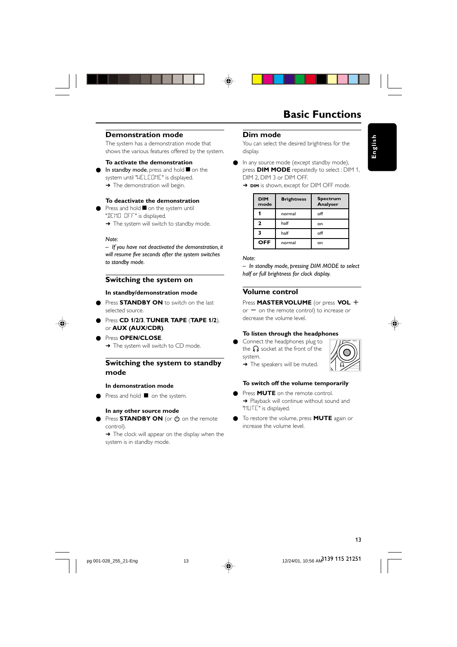



#### **Demonstration mode**

The system has a demonstration mode that shows the various features offered by the system.

#### **To activate the demonstration**

In standby mode, press and hold  $\blacksquare$  on the system until "WELCOME" is displayed. → The demonstration will begin.

#### **To deactivate the demonstration**

- Press and hold  $\blacksquare$  on the system until
- "DEMO OFF" is displayed.
- → The system will switch to standby mode.

#### *Note:*

*– If you have not deactivated the demonstration, it will resume five seconds after the system switches to standby mode.*

#### **Switching the system on**

#### **In standby/demonstration mode**

Press **STANDBY ON** to switch on the last selected source.

- Press **CD 1/2/3**, **TUNER**, **TAPE** (**TAPE 1/2**), or **AUX (AUX/CDR)**.
- Press **OPEN/CLOSE**. → The system will switch to CD mode.

### **Switching the system to standby mode**

#### **In demonstration mode**

● Press and hold ■ on the system.

#### **In any other source mode**

Press **STANDBY ON** (or  $\phi$  on the remote control).

 $\rightarrow$  The clock will appear on the display when the system is in standby mode.

## **Dim mode**

You can select the desired brightness for the display.

- **English**
- In any source mode (except standby mode), press **DIM MODE** repeatedly to select : DIM 1, DIM 2, DIM 3 or DIM OFF. → **DIM** is shown, except for DIM OFF mode.

| <b>DIM</b><br>mode | <b>Brightness</b> | <b>Spectrum</b><br>Analyser |
|--------------------|-------------------|-----------------------------|
|                    | normal            | off                         |
| 2                  | half              | on                          |
| 3                  | half              | off                         |
| <b>OFF</b>         | normal            | on                          |

#### *Note:*

*– In standby mode, pressing DIM MODE to select half or full brightness for clock display.*

#### **Volume control**

Press **MASTER VOLUME** (or press **VOL** +  $or - on$  the remote control) to increase or decrease the volume level.

#### **To listen through the headphones**

Connect the headphones plug to the  $\bigcap$  socket at the front of the system. → The speakers will be muted.



#### **To switch off the volume temporarily**

- Press **MUTE** on the remote control. → Playback will continue without sound and "MUTE" is displayed.
- To restore the volume, press **MUTE** again or increase the volume level.

12/24/01, 10:56 AM<sup>3139</sup> 115 21251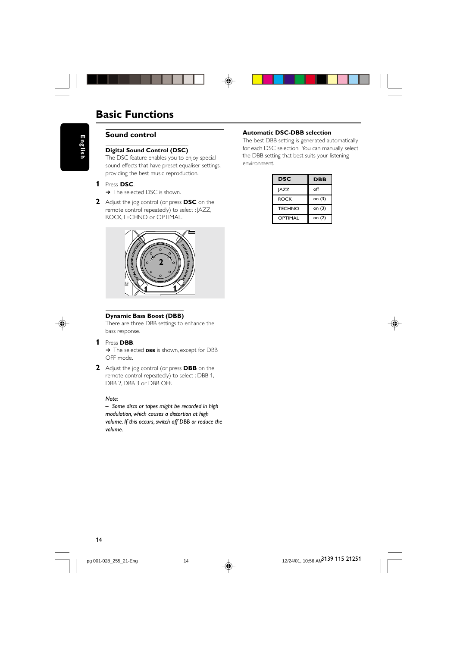

**Sound control**



**Digital Sound Control (DSC)** The DSC feature enables you to enjoy special sound effects that have preset equaliser settings, providing the best music reproduction.

#### **1** Press **DSC**.

- → The selected DSC is shown.
- **2** Adjust the jog control (or press **DSC** on the remote control repeatedly) to select : JAZZ, ROCK, TECHNO or OPTIMAL.



# ◈

#### **Dynamic Bass Boost (DBB)**

There are three DBB settings to enhance the bass response.

#### **1** Press **DBB**.

→ The selected **DBB** is shown, except for DBB OFF mode.

**2** Adjust the jog control (or press **DBB** on the remote control repeatedly) to select : DBB 1, DBB 2, DBB 3 or DBB OFF.

#### *Note:*

*– Some discs or tapes might be recorded in high modulation, which causes a distortion at high volume. If this occurs, switch off DBB or reduce the volume.*

#### **Automatic DSC-DBB selection**

◈

The best DBB setting is generated automatically for each DSC selection. You can manually select the DBB setting that best suits your listening environment.

| DSC           | <b>DBB</b> |
|---------------|------------|
| <b>JAZZ</b>   | off        |
| <b>ROCK</b>   | on (3)     |
| <b>TECHNO</b> | on (3)     |
| OPTIMAL       | on (2)     |



14

pg 001-028\_255\_21-Eng 14<br>
and the contract of the contract of the contract of the contract of the contract of the contract of the contract of the contract of the contract of the contract of the contract of the contract of

12/24/01, 10:56 AM<sup>3139</sup> 115 21251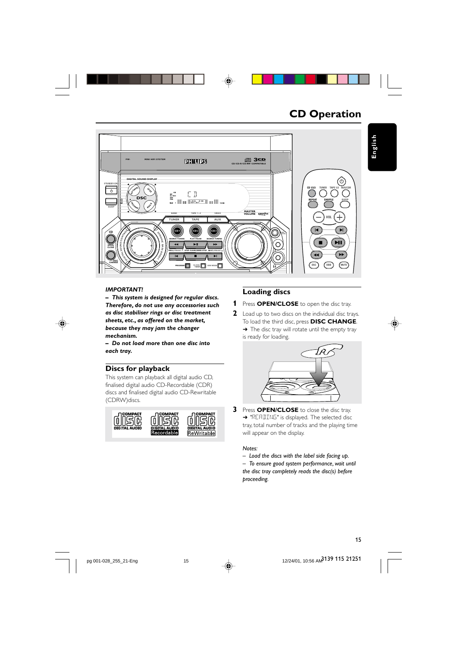

**CD Operation**



#### *IMPORTANT!*

*– This system is designed for regular discs. Therefore, do not use any accessories such as disc stabiliser rings or disc treatment sheets, etc., as offered on the market, because they may jam the changer mechanism.*

*– Do not load more than one disc into each tray.*

#### **Discs for playback**

This system can playback all digital audio CD, finalised digital audio CD-Recordable (CDR) discs and finalised digital audio CD-Rewritable (CDRW)discs.



## **Loading discs**

- **1** Press **OPEN/CLOSE** to open the disc tray.
- **2** Load up to two discs on the individual disc trays. To load the third disc, press **DISC CHANGE**. → The disc tray will rotate until the empty tray is ready for loading.



**3** Press **OPEN/CLOSE** to close the disc tray. → "READING" is displayed. The selected disc tray, total number of tracks and the playing time will appear on the display.

#### *Notes:*

*– Load the discs with the label side facing up. – To ensure good system performance, wait until the disc tray completely reads the disc(s) before proceeding.*

12/24/01, 10:56 AM<sup>3139</sup> 115 21251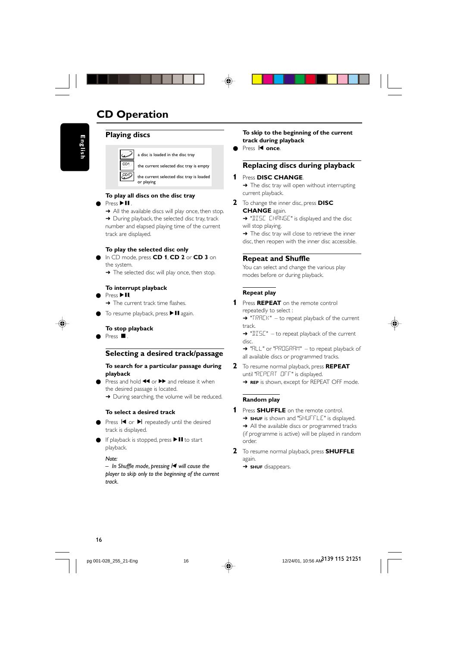## **CD Operation**



**Playing discs**

a disc is loaded in the disc tray

the current selected disc tray is empty

| CD1 the current selected disc tray is loaded or playing

#### **To play all discs on the disc tray** Press ▶ 11.

→ All the available discs will play once, then stop. → During playback, the selected disc tray, track number and elapsed playing time of the current track are displayed.

#### **To play the selected disc only**

- In CD mode, press **CD 1**, **CD 2** or **CD 3** on the system.
	- → The selected disc will play once, then stop.

#### **To interrupt playback**

- Press  $\blacktriangleright$  II. → The current track time flashes.
- To resume playback, press  $\blacktriangleright$  II again.

#### **To stop playback**

Press ■

#### **Selecting a desired track/passage**

#### **To search for a particular passage during playback**

Press and hold  $\blacktriangleleft$  or  $\blacktriangleright$  and release it when the desired passage is located. → During searching, the volume will be reduced.

## **To select a desired track**

- Press I< or ▶ repeatedly until the desired track is displayed.
- If playback is stopped, press  $\blacktriangleright$  II to start playback.

*Note:*

*– In Shuffle mode, pressing*í *will cause the player to skip only to the beginning of the current track.*

**To skip to the beginning of the current track during playback**

Press **I** once.

### **Replacing discs during playback**

- **1** Press **DISC CHANGE**. **→** The disc tray will open without interrupting current playback.
- **2** To change the inner disc, press **DISC CHANGE** again.
	- → "DISC CHANGE" is displayed and the disc will stop playing.
	- → The disc tray will close to retrieve the inner disc, then reopen with the inner disc accessible.

#### **Repeat and Shuffle**

You can select and change the various play modes before or during playback.

#### **Repeat play**

- **1** Press **REPEAT** on the remote control repeatedly to select : → "TRACK" – to repeat playback of the current
	- track.

→ "JISC" – to repeat playback of the current disc.

- → "ALL" or "PROGRAM" to repeat playback of all available discs or programmed tracks.
- **2** To resume normal playback, press **REPEAT**
	- until "REPEAT OFF" is displayed. **→ REP** is shown, except for REPEAT OFF mode.
		-

#### **Random play**

- **1** Press **SHUFFLE** on the remote control. → **SHUF** is shown and "SHUFFLE" is displayed. → All the available discs or programmed tracks (if programme is active) will be played in random order.
- **2** To resume normal playback, press **SHUFFLE** again.

→ **SHUF** disappears.



12/24/01, 10:56 AM<sup>3139</sup> 115 21251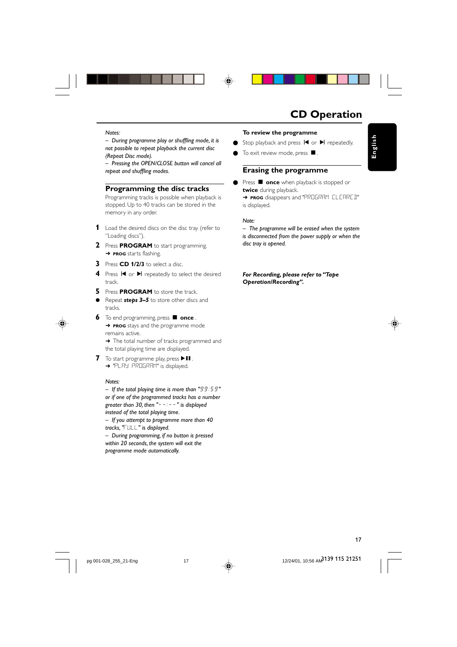

## **CD Operation**

**English**

#### *Notes:*

*– During programme play or shuffling mode, it is not possible to repeat playback the current disc (Repeat Disc mode).*

*– Pressing the OPEN/CLOSE button will cancel all repeat and shuffling modes.*

#### **Programming the disc tracks**

Programming tracks is possible when playback is stopped. Up to 40 tracks can be stored in the memory in any order.

- **1** Load the desired discs on the disc tray (refer to "Loading discs").
- **2** Press **PROGRAM** to start programming. ➜ **PROG** starts flashing.
- **3** Press **CD 1/2/3** to select a disc.
- **4** Press  $\blacksquare$  or  $\blacksquare$  repeatedly to select the desired track.
- **5** Press **PROGRAM** to store the track.
- Repeat *steps* 3–5 to store other discs and tracks.



**6** To end programming, press **d** once. **→ PROG** stays and the programme mode remains active.

→ The total number of tracks programmed and the total playing time are displayed.

**7** To start programme play, press  $\blacktriangleright$  **II**. → "PLAY PROGRAM" is displayed.

#### *Notes:*

*– If the total playing time is more than "*99:59*" or if one of the programmed tracks has a number greater than 30, then "*--:--*" is displayed instead of the total playing time.*

*– If you attempt to programme more than 40 tracks, "*FULL*" is displayed.*

*– During programming, if no button is pressed within 20 seconds, the system will exit the programme mode automatically.*

#### **To review the programme**

● Stop playback and press  $\blacksquare$  or  $\blacksquare$  repeatedly.

 $\bullet$  To exit review mode, press  $\blacksquare$ 

#### **Erasing the programme**

● Press ■ **once** when playback is stopped or **twice** during playback. ➜ **PROG** disappears and "PROGRAM CLEARED" is displayed.

#### *Note:*

*– The programme will be erased when the system is disconnected from the power supply or when the disc tray is opened.*

*For Recording, please refer to "Tape Operation/Recording".*

## 17

12/24/01, 10:56 AM<sup>3139</sup> 115 21251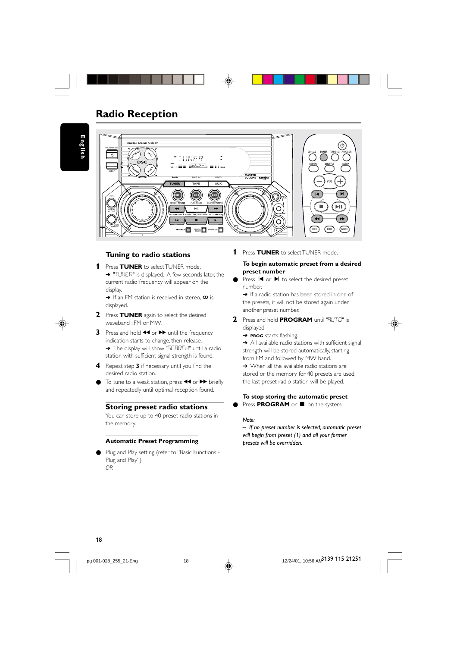

## **Radio Reception**

**English**



#### **Tuning to radio stations**

**1** Press **TUNER** to select TUNER mode. → "TUNER" is displayed. A few seconds later, the current radio frequency will appear on the display.

 $\rightarrow$  If an FM station is received in stereo,  $\infty$  is displayed.

- **2** Press **TUNER** again to select the desired waveband : FM or MW.
- **3** Press and hold  $\blacktriangleleft$  or  $\blacktriangleright$  until the frequency indication starts to change, then release. → The display will show "SERREH" until a radio station with sufficient signal strength is found.
- **4** Repeat step **3** if necessary until you find the desired radio station.
- To tune to a weak station, press  $\blacktriangleleft$  or  $\blacktriangleright$  briefly and repeatedly until optimal reception found.

#### **Storing preset radio stations**

You can store up to 40 preset radio stations in the memory.

#### **Automatic Preset Programming**

Plug and Play setting (refer to "Basic Functions -Plug and Play"). *OR*

**1** Press **TUNER** to select TUNER mode.

#### **To begin automatic preset from a desired preset number**

- Press  $\blacksquare$  or  $\blacktriangleright$  to select the desired preset number.
- → If a radio station has been stored in one of the presets, it will not be stored again under another preset number.
- **2** Press and hold **PROGRAM** until "AUTO" is displayed.
	- ➜ **PROG** starts flashing.

→ All available radio stations with sufficient signal strength will be stored automatically, starting from FM and followed by MW band. → When all the available radio stations are stored or the memory for 40 presets are used,

#### **To stop storing the automatic preset**

the last preset radio station will be played.

**O** Press PROGRAM or  $\blacksquare$  on the system.

#### *Note:*

*– If no preset number is selected, automatic preset will begin from preset (1) and all your former presets will be overridden.*



18

pg 001-028\_255\_21-Eng 12/24/01, 10:56 AM 18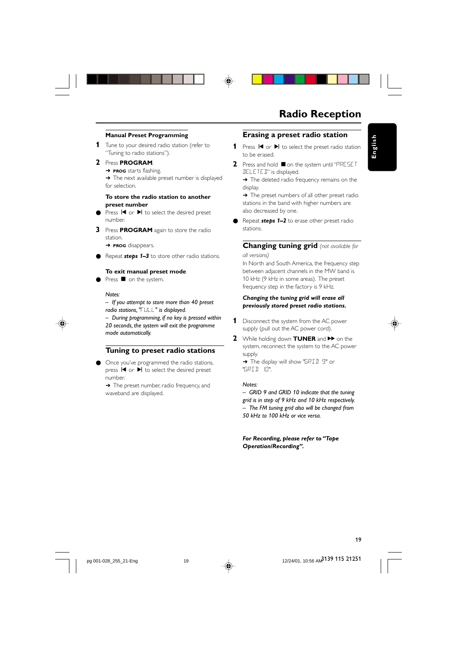#### **Manual Preset Programming**

- **1** Tune to your desired radio station (refer to "Tuning to radio stations").
- **2** Press **PROGRAM**. **→ PROG** starts flashing. → The next available preset number is displayed

for selection.

#### **To store the radio station to another preset number**

- Press  $\blacktriangleright$  or  $\blacktriangleright$  to select the desired preset number.
- **3** Press **PROGRAM** again to store the radio station.

➜ **PROG** disappears.

Repeat **steps 1–3** to store other radio stations.

#### **To exit manual preset mode**

Press  $\blacksquare$  on the system.

*Notes:*

*– If you attempt to store more than 40 preset radio stations, "*FULL*" is displayed.*

*– During programming, if no key is pressed within 20 seconds, the system will exit the programme mode automatically.*

#### **Tuning to preset radio stations**

Once you've programmed the radio stations, press  $\blacktriangleright$  or  $\blacktriangleright$  to select the desired preset number.

→ The preset number, radio frequency, and waveband are displayed.

## **Radio Reception**

**English**

#### **Erasing a preset radio station**

- 1 Press  $\blacksquare$  or  $\blacktriangleright$  to select the preset radio station to be erased.
- **2** Press and hold on the system until "PRESET DELETED" is displayed.

→ The deleted radio frequency remains on the display.

→ The preset numbers of all other preset radio stations in the band with higher numbers are also decreased by one.

Repeat **steps 1–2** to erase other preset radio stations.

#### **Changing tuning grid** *(not available for all versions)*

In North and South America, the frequency step between adjacent channels in the MW band is 10 kHz (9 kHz in some areas). The preset frequency step in the factory is 9 kHz.

#### *Changing the tuning grid will erase all previously stored preset radio stations.*

- **1** Disconnect the system from the AC power supply (pull out the AC power cord).
- **2** While holding down **TUNER** and **EX** on the system, reconnect the system to the AC power supply. → The display will show "GRID 9" or

"GRID 10".

#### *Notes:*

*– GRID 9 and GRID 10 indicate that the tuning grid is in step of 9 kHz and 10 kHz respectively. – The FM tuning grid also will be changed from 50 kHz to 100 kHz or vice versa.*

*For Recording, please refer to "Tape Operation/Recording".*

12/24/01, 10:56 AM<sup>3139</sup> 115 21251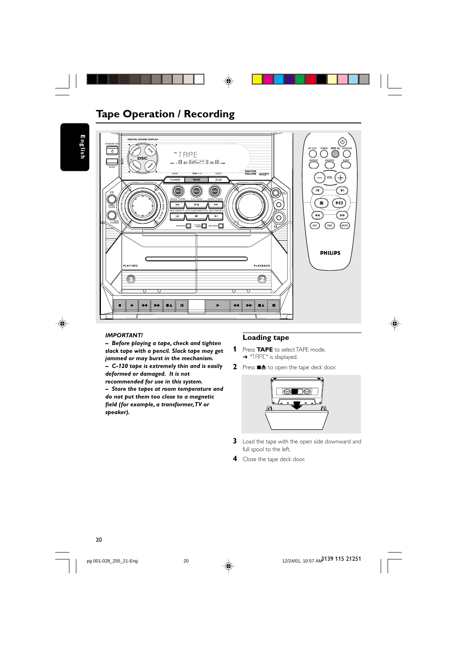

## **Tape Operation / Recording**

**English**

◈



#### *IMPORTANT!*

*– Before playing a tape, check and tighten slack tape with a pencil. Slack tape may get jammed or may burst in the mechanism. – C-120 tape is extremely thin and is easily deformed or damaged. It is not*

*recommended for use in this system. – Store the tapes at room temperature and do not put them too close to a magnetic field (for example, a transformer, TV or speaker).*

#### **Loading tape**

- **1** Press **TAPE** to select TAPE mode. → "TRPE" is displayed.
- **2** Press  $\blacksquare$  **4** to open the tape deck door.



◈

- **3** Load the tape with the open side downward and full spool to the left.
- **4** Close the tape deck door.

12/24/01, 10:57 AM 3139 115 21251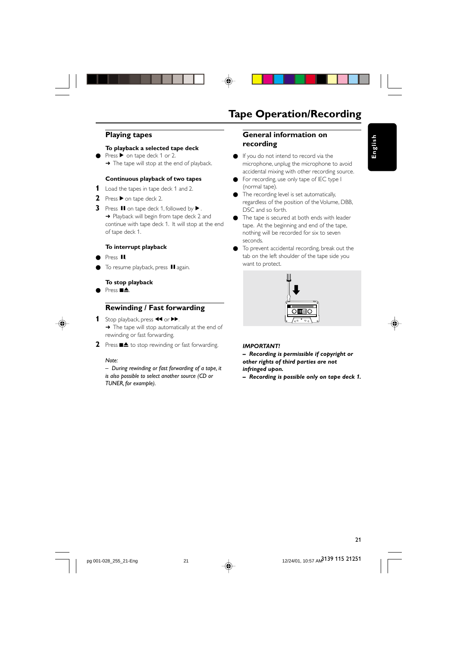◈

#### **Playing tapes**

#### **To playback a selected tape deck**

Press ▶ on tape deck 1 or 2. → The tape will stop at the end of playback.

#### **Continuous playback of two tapes**

- **1** Load the tapes in tape deck 1 and 2.
- **2** Press ▶ on tape deck 2.
- **3** Press **II** on tape deck 1, followed by  $\blacktriangleright$ → Playback will begin from tape deck 2 and continue with tape deck 1. It will stop at the end of tape deck 1.

#### **To interrupt playback**

- Press II.
- To resume playback, press II again.
- **To stop playback**
- Press  $\blacksquare$

## **Rewinding / Fast forwarding**

- 1 Stop playback, press <<<<r >**A** → The tape will stop automatically at the end of rewinding or fast forwarding.
- **2** Press  $\blacksquare$  **1** to stop rewinding or fast forwarding.

#### *Note:*

*– During rewinding or fast forwarding of a tape, it is also possible to select another source (CD or TUNER, for example).*

## **Tape Operation/Recording**

#### **General information on recording**

● If you do not intend to record via the microphone, unplug the microphone to avoid accidental mixing with other recording source. **English**

- For recording, use only tape of IEC type I (normal tape).
- The recording level is set automatically, regardless of the position of the Volume, DBB, DSC and so forth.
- The tape is secured at both ends with leader tape. At the beginning and end of the tape, nothing will be recorded for six to seven seconds.
- To prevent accidental recording, break out the tab on the left shoulder of the tape side you want to protect.



#### *IMPORTANT!*

*– Recording is permissible if copyright or other rights of third parties are not infringed upon.*

*– Recording is possible only on tape deck 1.*



12/24/01, 10:57 AM<sup>3139</sup> 115 21251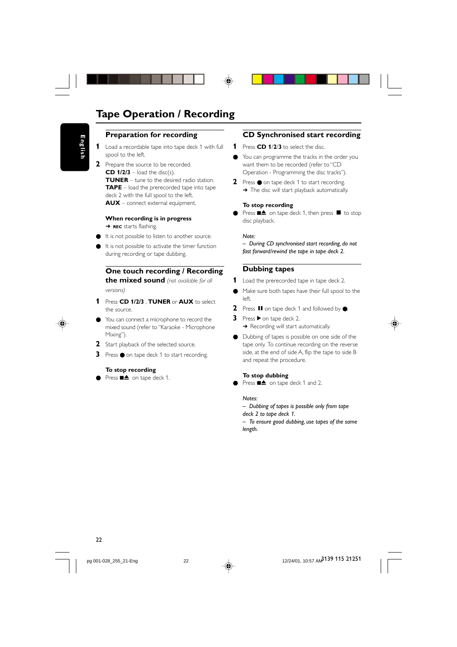## **Tape Operation / Recording**

## **Preparation for recording**

- **1** Load a recordable tape into tape deck 1 with full spool to the left.
- **2** Prepare the source to be recorded.  $CD$   $1/2/3$  – load the disc(s). **TUNER** – tune to the desired radio station. **TAPE** – load the prerecorded tape into tape deck 2 with the full spool to the left. **AUX** – connect external equipment.

#### **When recording is in progress** ➜ **REC** starts flashing.

- It is not possible to listen to another source.
- It is not possible to activate the timer function during recording or tape dubbing.

## **One touch recording / Recording**

**the mixed sound** *(not available for all versions)*

- **1** Press **CD 1/2/3** , **TUNER** or **AUX** to select the source.
- You can connect a microphone to record the mixed sound (refer to "Karaoke - Microphone Mixing").
- 2 Start playback of the selected source.
- **3** Press on tape deck 1 to start recording.

#### **To stop recording**

Press ■▲ on tape deck 1.

#### **CD Synchronised start recording**

- **1** Press **CD 1**/**2**/**3** to select the disc.
- You can programme the tracks in the order you want them to be recorded (refer to "CD Operation - Programming the disc tracks").
- **2** Press on tape deck 1 to start recording. → The disc will start playback automatically.

#### **To stop recording**

Press  $\blacksquare$  on tape deck 1, then press  $\blacksquare$  to stop disc playback.

#### *Note:*

*– During CD synchronised start recording, do not fast forward/rewind the tape in tape deck 2.*

## **Dubbing tapes**

#### **1** Load the prerecorded tape in tape deck 2.

- Make sure both tapes have their full spool to the left.
- **2** Press **Ⅱ** on tape deck 1 and followed by ●.
- **3** Press  $\triangleright$  on tape deck 2. → Recording will start automatically.
- Dubbing of tapes is possible on one side of the tape only. To continue recording on the reverse side, at the end of side A, flip the tape to side B and repeat the procedure.

#### **To stop dubbing**

● Press ■▲ on tape deck 1 and 2.

#### *Notes:*

*– Dubbing of tapes is possible only from tape deck 2 to tape deck 1. – To ensure good dubbing, use tapes of the same length.*

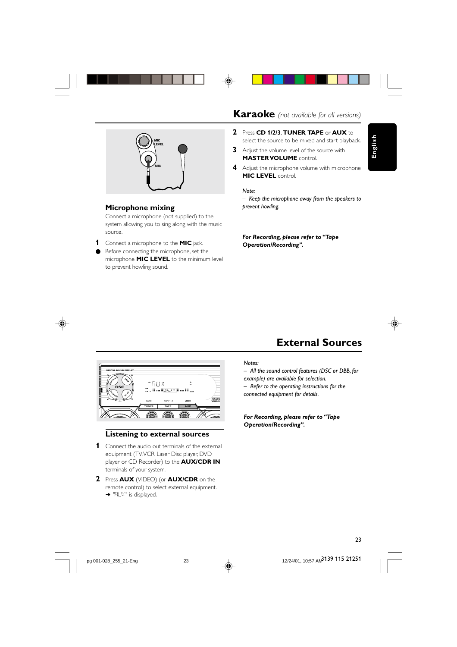





#### **Microphone mixing**

Connect a microphone (not supplied) to the system allowing you to sing along with the music source.

- **1** Connect a microphone to the **MIC** jack.
- Before connecting the microphone, set the microphone **MIC LEVEL** to the minimum level to prevent howling sound.

## **Karaoke** *(not available for all versions)*

- **2** Press **CD 1/2/3**, **TUNER**, **TAPE** or **AUX** to select the source to be mixed and start playback.
- **3** Adjust the volume level of the source with **MASTER VOLUME** control.
- **4** Adjust the microphone volume with microphone **MIC LEVEL** control.

*Note:*

*– Keep the microphone away from the speakers to prevent howling.*

*For Recording, please refer to "Tape Operation/Recording".*



**English**

# **External Sources**



#### **Listening to external sources**

- **1** Connect the audio out terminals of the external equipment (TV, VCR, Laser Disc player, DVD player or CD Recorder) to the **AUX/CDR IN** terminals of your system.
- **2** Press **AUX** (VIDEO) (or **AUX/CDR** on the remote control) to select external equipment. → "RUX" is displayed.

#### *Notes:*

- *All the sound control features (DSC or DBB, for*
- *example) are available for selection.*

*– Refer to the operating instructions for the connected equipment for details.*

*For Recording, please refer to "Tape Operation/Recording".*

23

12/24/01, 10:57 AM<sup>3139</sup> 115 21251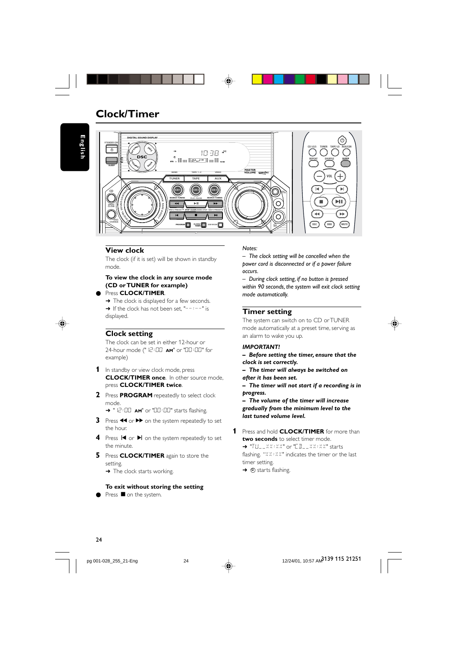## **Clock/Timer**

**English**



#### **View clock**

The clock (if it is set) will be shown in standby mode.

**To view the clock in any source mode (CD or TUNER for example)**

Press **CLOCK/TIMER.** 

→ The clock is displayed for a few seconds. → If the clock has not been set, "------" is displayed.



## **Clock setting**

The clock can be set in either 12-hour or 24-hour mode ("12:00 **AM**" or "00:00" for example)

- **1** In standby or view clock mode, press **CLOCK/TIMER once.** In other source mode, press **CLOCK/TIMER twice**.
- **2** Press **PROGRAM** repeatedly to select clock mode.

→ "12:00 **AM**" or "00:00" starts flashing.

- **3** Press << or  $\blacktriangleright$  on the system repeatedly to set the hour.
- **4** Press  $\blacksquare$  or  $\blacksquare$  on the system repeatedly to set the minute.
- **5** Press **CLOCK/TIMER** again to store the setting.
	- → The clock starts working.

#### **To exit without storing the setting**

 $\bullet$  Press  $\blacksquare$  on the system.

#### *Notes:*

*– The clock setting will be cancelled when the power cord is disconnected or if a power failure occurs.*

*– During clock setting, if no button is pressed within 90 seconds, the system will exit clock setting mode automatically.*

#### **Timer setting**

The system can switch on to CD or TUNER mode automatically at a preset time, serving as an alarm to wake you up.

#### *IMPORTANT!*

*– Before setting the timer, ensure that the clock is set correctly.*

- *The timer will always be switched on*
- *after it has been set.*

*– The timer will not start if a recording is in progress.*

*– The volume of the timer will increase gradually from the minimum level to the last tuned volume level.*

**1** Press and hold **CLOCK/TIMER** for more than **two seconds** to select timer mode. → "TU\_\_XX:XX" or "CD\_\_XX:XX" starts flashing. "XX:XX" indicates the timer or the last timer setting.

 $\rightarrow$   $\alpha$  starts flashing.



pg 001-028\_255\_21-Eng 124



12/24/01, 10:57 AM<sup>3139</sup> 115 21251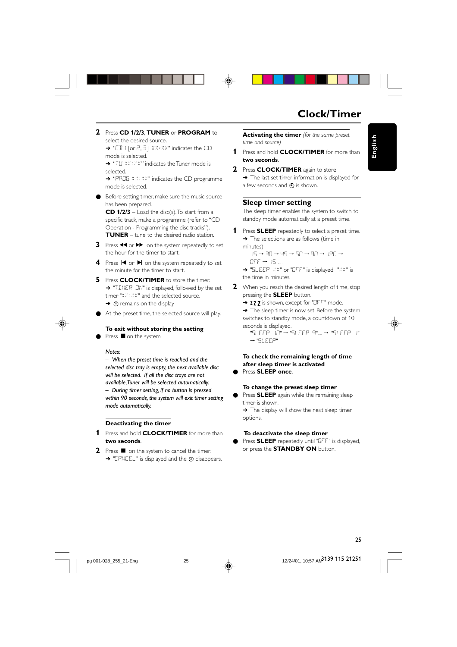## **Clock/Timer**

**English**

**2** Press **CD 1/2/3**, **TUNER** or **PROGRAM** to select the desired source.

→ "EII | [or 2, 3] XX:XX" indicates the CD mode is selected.

→ "TU XX: XX" indicates the Tuner mode is selected.

→ "PROG XX:XX" indicates the CD programme mode is selected.

Before setting timer, make sure the music source has been prepared.

**CD 1/2/3** – Load the disc(s). To start from a specific track, make a programme (refer to "CD Operation - Programming the disc tracks"). **TUNER** – tune to the desired radio station.

- **3** Press << or  $\blacktriangleright$  on the system repeatedly to set the hour for the timer to start.
- **4** Press **i<** or ▶ on the system repeatedly to set the minute for the timer to start.
- **5** Press **CLOCK/TIMER** to store the timer. → "TIMER ON" is displayed, followed by the set timer "XX:XX" and the selected source.  $\rightarrow$   $\oplus$  remains on the display.
- At the preset time, the selected source will play.
	- **To exit without storing the setting**

Press ■ on the system.

#### *Notes:*

*– When the preset time is reached and the selected disc tray is empty, the next available disc will be selected. If all the disc trays are not available, Tuner will be selected automatically. – During timer setting, if no button is pressed within 90 seconds, the system will exit timer setting mode automatically.*

#### **Deactivating the timer**

- **1** Press and hold **CLOCK/TIMER** for more than **two seconds**.
- **2** Press on the system to cancel the timer. → "CANCEL" is displayed and the 4 disappears.

**Activating the timer** *(for the same preset time and source)*

- **1** Press and hold **CLOCK/TIMER** for more than **two seconds**.
- **2** Press **CLOCK/TIMER** again to store. → The last set timer information is displayed for a few seconds and  $\Phi$  is shown.

#### **Sleep timer setting**

The sleep timer enables the system to switch to standby mode automatically at a preset time.

- **1** Press **SLEEP** repeatedly to select a preset time. → The selections are as follows (time in minutes):
	- $15 \rightarrow 30 \rightarrow 45 \rightarrow 60 \rightarrow 90 \rightarrow 120 \rightarrow$  $OFF \rightarrow 15...$

➜ "SLEEP XX" or "OFF" is displayed. "XX" is the time in minutes.

**2** When you reach the desired length of time, stop pressing the **SLEEP** button.

→ zzz is shown, except for "OFF" mode. → The sleep timer is now set. Before the system switches to standby mode, a countdown of 10 seconds is displayed.

"SLEEP 10" ™ "SLEEP 9".... ™ "SLEEP 1" ™ "SLEEP"

#### **To check the remaining length of time after sleep timer is activated** ● Press **SLEEP once**.

#### **To change the preset sleep timer**

Press **SLEEP** again while the remaining sleep timer is shown.

→ The display will show the next sleep timer options.

#### **To deactivate the sleep timer**

● Press **SLEEP** repeatedly until "OFF" is displayed, or press the **STANDBY ON** button.

12/24/01, 10:57 AM<sup>3139</sup> 115 21251

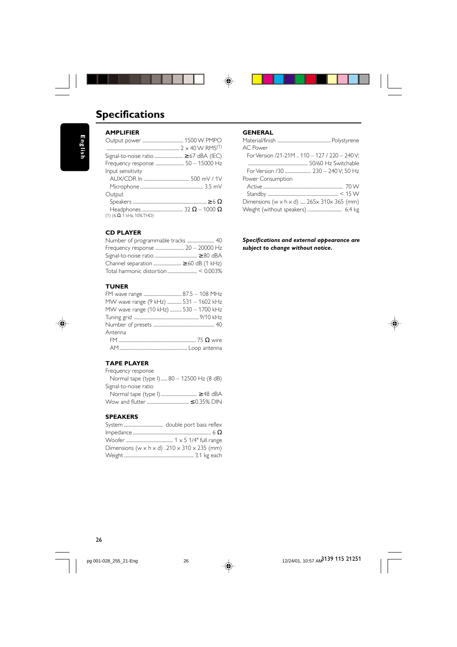

# **Specifications**

◈

#### **AMPLIFIER** Output power ...................................... 1500 W PMPO ................................................................... 2 x 40 W RMS(1) Signal-to-noise ratio .......................... ≥ 67 dBA (IEC) Frequency response .......................... 50 – 15000 Hz Input sensitivity AUX/CDR In .......................................... 500 mV / 1V Microphone .......................................................... 3.5 mV **Output** Speakers ....................................................................≥ 6 Ω Headphones...................................... 32 Ω – 1000 Ω (1) (6  $\Omega$ , 1 kHz, 10% THD)

#### **CD PLAYER**

| Number of programmable tracks  40   |
|-------------------------------------|
| Frequency response  20 - 20000 Hz   |
|                                     |
| Channel separation  ≥ 60 dB (1 kHz) |
|                                     |
|                                     |

#### **TUNER**

| MW wave range (9 kHz)  531 - 1602 kHz  |  |
|----------------------------------------|--|
| MW wave range (10 kHz)  530 - 1700 kHz |  |
|                                        |  |
|                                        |  |
| Antenna                                |  |
|                                        |  |

## **TAPE PLAYER**

| Frequency response                        |  |
|-------------------------------------------|--|
| Normal tape (type I) 80 - 12500 Hz (8 dB) |  |
| Signal-to-noise ratio                     |  |
|                                           |  |

## **SPEAKERS**

| Dimensions (w $\times$ h $\times$ d) . 210 $\times$ 310 $\times$ 235 (mm) |  |
|---------------------------------------------------------------------------|--|
|                                                                           |  |

#### **GENERAL**

 $\bigoplus$ 

| AC Power                                                                 |
|--------------------------------------------------------------------------|
| For Version /21-21M  110 - 127 / 220 - 240 V;                            |
|                                                                          |
| For Version /30  230 - 240 V; 50 Hz                                      |
| Power Consumption                                                        |
|                                                                          |
|                                                                          |
| Dimensions (w $\times$ h $\times$ d)  265 $\times$ 310 $\times$ 365 (mm) |
|                                                                          |
|                                                                          |

*Specifications and external appearance are subject to change without notice.*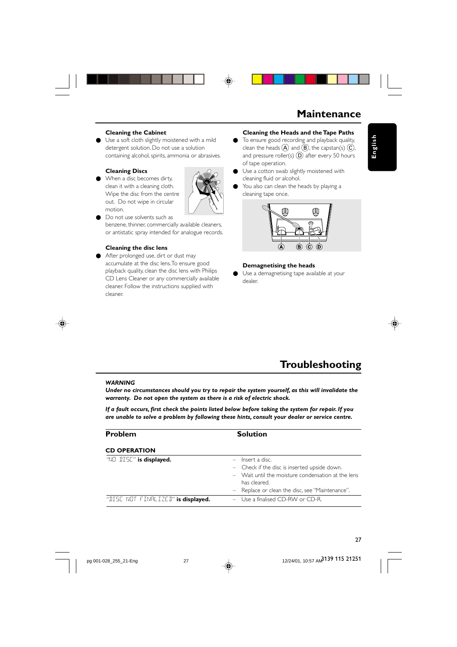## **Maintenance**

**English**

#### **Cleaning the Cabinet**

Use a soft cloth slightly moistened with a mild detergent solution. Do not use a solution containing alcohol, spirits, ammonia or abrasives.

#### **Cleaning Discs**

When a disc becomes dirty, clean it with a cleaning cloth. Wipe the disc from the centre out. Do not wipe in circular motion.



Do not use solvents such as benzene, thinner, commercially available cleaners, or antistatic spray intended for analogue records.

#### **Cleaning the disc lens**

● After prolonged use, dirt or dust may accumulate at the disc lens. To ensure good playback quality, clean the disc lens with Philips CD Lens Cleaner or any commercially available cleaner. Follow the instructions supplied with cleaner.

## **Cleaning the Heads and the Tape Paths**

- To ensure good recording and playback quality, clean the heads  $\widehat{A}$  and  $\widehat{B}$ , the capstan(s)  $\widehat{C}$ , and pressure roller(s)  $(D)$  after every 50 hours of tape operation.
- Use a cotton swab slightly moistened with cleaning fluid or alcohol.
- You also can clean the heads by playing a cleaning tape once.



#### **Demagnetising the heads**

● Use a demagnetising tape available at your dealer.

## **Troubleshooting**

#### *WARNING*

*Under no circumstances should you try to repair the system yourself, as this will invalidate the warranty. Do not open the system as there is a risk of electric shock.*

*If a fault occurs, first check the points listed below before taking the system for repair. If you are unable to solve a problem by following these hints, consult your dealer or service centre.*

| <b>Problem</b>                     | <b>Solution</b>                                                                                                                                                                             |
|------------------------------------|---------------------------------------------------------------------------------------------------------------------------------------------------------------------------------------------|
| <b>CD OPERATION</b>                |                                                                                                                                                                                             |
| "NO DISE" is displayed.            | $-$ Insert a disc.<br>- Check if the disc is inserted upside down.<br>- Wait until the moisture condensation at the lens<br>has cleared.<br>- Replace or clean the disc, see "Maintenance". |
| "DISE NOT FINALIZED" is displayed. | $-$ Use a finalised CD-RW or CD-R.                                                                                                                                                          |



12/24/01, 10:57 AM<sup>3139</sup> 115 21251